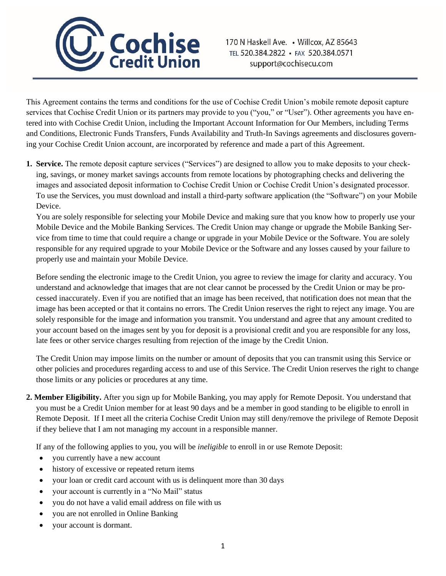

This Agreement contains the terms and conditions for the use of Cochise Credit Union's mobile remote deposit capture services that Cochise Credit Union or its partners may provide to you ("you," or "User"). Other agreements you have entered into with Cochise Credit Union, including the Important Account Information for Our Members, including Terms and Conditions, Electronic Funds Transfers, Funds Availability and Truth-In Savings agreements and disclosures governing your Cochise Credit Union account, are incorporated by reference and made a part of this Agreement.

**1. Service.** The remote deposit capture services ("Services") are designed to allow you to make deposits to your checking, savings, or money market savings accounts from remote locations by photographing checks and delivering the images and associated deposit information to Cochise Credit Union or Cochise Credit Union's designated processor. To use the Services, you must download and install a third-party software application (the "Software") on your Mobile Device.

You are solely responsible for selecting your Mobile Device and making sure that you know how to properly use your Mobile Device and the Mobile Banking Services. The Credit Union may change or upgrade the Mobile Banking Service from time to time that could require a change or upgrade in your Mobile Device or the Software. You are solely responsible for any required upgrade to your Mobile Device or the Software and any losses caused by your failure to properly use and maintain your Mobile Device.

Before sending the electronic image to the Credit Union, you agree to review the image for clarity and accuracy. You understand and acknowledge that images that are not clear cannot be processed by the Credit Union or may be processed inaccurately. Even if you are notified that an image has been received, that notification does not mean that the image has been accepted or that it contains no errors. The Credit Union reserves the right to reject any image. You are solely responsible for the image and information you transmit. You understand and agree that any amount credited to your account based on the images sent by you for deposit is a provisional credit and you are responsible for any loss, late fees or other service charges resulting from rejection of the image by the Credit Union.

The Credit Union may impose limits on the number or amount of deposits that you can transmit using this Service or other policies and procedures regarding access to and use of this Service. The Credit Union reserves the right to change those limits or any policies or procedures at any time.

**2. Member Eligibility.** After you sign up for Mobile Banking, you may apply for Remote Deposit. You understand that you must be a Credit Union member for at least 90 days and be a member in good standing to be eligible to enroll in Remote Deposit. If I meet all the criteria Cochise Credit Union may still deny/remove the privilege of Remote Deposit if they believe that I am not managing my account in a responsible manner.

If any of the following applies to you, you will be *ineligible* to enroll in or use Remote Deposit:

- you currently have a new account
- history of excessive or repeated return items
- your loan or credit card account with us is delinquent more than 30 days
- your account is currently in a "No Mail" status
- you do not have a valid email address on file with us
- you are not enrolled in Online Banking
- your account is dormant.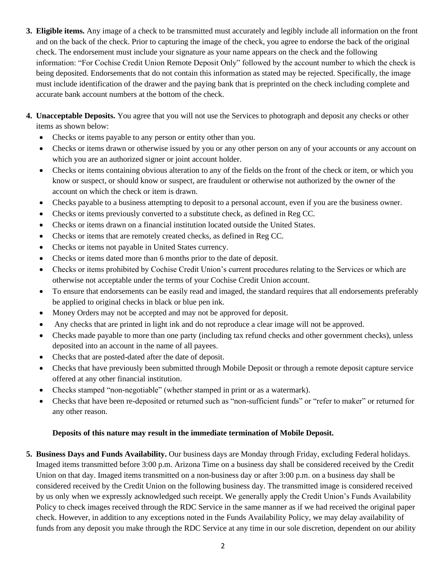- **3. Eligible items.** Any image of a check to be transmitted must accurately and legibly include all information on the front and on the back of the check. Prior to capturing the image of the check, you agree to endorse the back of the original check. The endorsement must include your signature as your name appears on the check and the following information: "For Cochise Credit Union Remote Deposit Only" followed by the account number to which the check is being deposited. Endorsements that do not contain this information as stated may be rejected. Specifically, the image must include identification of the drawer and the paying bank that is preprinted on the check including complete and accurate bank account numbers at the bottom of the check.
- **4. Unacceptable Deposits.** You agree that you will not use the Services to photograph and deposit any checks or other items as shown below:
	- Checks or items payable to any person or entity other than you.
	- Checks or items drawn or otherwise issued by you or any other person on any of your accounts or any account on which you are an authorized signer or joint account holder.
	- Checks or items containing obvious alteration to any of the fields on the front of the check or item, or which you know or suspect, or should know or suspect, are fraudulent or otherwise not authorized by the owner of the account on which the check or item is drawn.
	- Checks payable to a business attempting to deposit to a personal account, even if you are the business owner.
	- Checks or items previously converted to a substitute check, as defined in Reg CC.
	- Checks or items drawn on a financial institution located outside the United States.
	- Checks or items that are remotely created checks, as defined in Reg CC.
	- Checks or items not payable in United States currency.
	- Checks or items dated more than 6 months prior to the date of deposit.
	- Checks or items prohibited by Cochise Credit Union's current procedures relating to the Services or which are otherwise not acceptable under the terms of your Cochise Credit Union account.
	- To ensure that endorsements can be easily read and imaged, the standard requires that all endorsements preferably be applied to original checks in black or blue pen ink.
	- Money Orders may not be accepted and may not be approved for deposit.
	- Any checks that are printed in light ink and do not reproduce a clear image will not be approved.
	- Checks made payable to more than one party (including tax refund checks and other government checks), unless deposited into an account in the name of all payees.
	- Checks that are posted-dated after the date of deposit.
	- Checks that have previously been submitted through Mobile Deposit or through a remote deposit capture service offered at any other financial institution.
	- Checks stamped "non-negotiable" (whether stamped in print or as a watermark).
	- Checks that have been re-deposited or returned such as "non-sufficient funds" or "refer to maker" or returned for any other reason.

## **Deposits of this nature may result in the immediate termination of Mobile Deposit.**

**5. Business Days and Funds Availability.** Our business days are Monday through Friday, excluding Federal holidays. Imaged items transmitted before 3:00 p.m. Arizona Time on a business day shall be considered received by the Credit Union on that day. Imaged items transmitted on a non-business day or after 3:00 p.m. on a business day shall be considered received by the Credit Union on the following business day. The transmitted image is considered received by us only when we expressly acknowledged such receipt. We generally apply the Credit Union's Funds Availability Policy to check images received through the RDC Service in the same manner as if we had received the original paper check. However, in addition to any exceptions noted in the Funds Availability Policy, we may delay availability of funds from any deposit you make through the RDC Service at any time in our sole discretion, dependent on our ability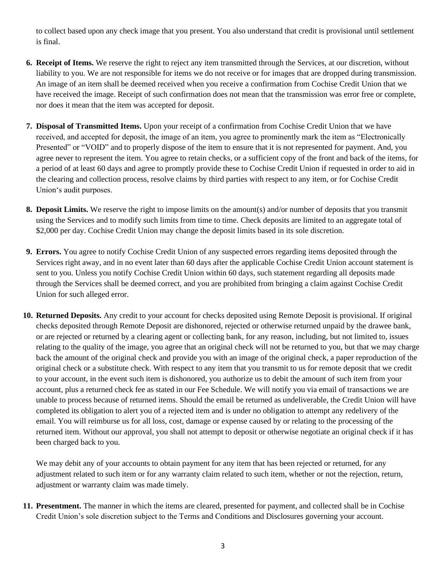to collect based upon any check image that you present. You also understand that credit is provisional until settlement is final.

- **6. Receipt of Items.** We reserve the right to reject any item transmitted through the Services, at our discretion, without liability to you. We are not responsible for items we do not receive or for images that are dropped during transmission. An image of an item shall be deemed received when you receive a confirmation from Cochise Credit Union that we have received the image. Receipt of such confirmation does not mean that the transmission was error free or complete, nor does it mean that the item was accepted for deposit.
- **7. Disposal of Transmitted Items.** Upon your receipt of a confirmation from Cochise Credit Union that we have received, and accepted for deposit, the image of an item, you agree to prominently mark the item as "Electronically Presented" or "VOID" and to properly dispose of the item to ensure that it is not represented for payment. And, you agree never to represent the item. You agree to retain checks, or a sufficient copy of the front and back of the items, for a period of at least 60 days and agree to promptly provide these to Cochise Credit Union if requested in order to aid in the clearing and collection process, resolve claims by third parties with respect to any item, or for Cochise Credit Union's audit purposes.
- **8. Deposit Limits.** We reserve the right to impose limits on the amount(s) and/or number of deposits that you transmit using the Services and to modify such limits from time to time. Check deposits are limited to an aggregate total of \$2,000 per day. Cochise Credit Union may change the deposit limits based in its sole discretion.
- **9. Errors.** You agree to notify Cochise Credit Union of any suspected errors regarding items deposited through the Services right away, and in no event later than 60 days after the applicable Cochise Credit Union account statement is sent to you. Unless you notify Cochise Credit Union within 60 days, such statement regarding all deposits made through the Services shall be deemed correct, and you are prohibited from bringing a claim against Cochise Credit Union for such alleged error.
- **10. Returned Deposits.** Any credit to your account for checks deposited using Remote Deposit is provisional. If original checks deposited through Remote Deposit are dishonored, rejected or otherwise returned unpaid by the drawee bank, or are rejected or returned by a clearing agent or collecting bank, for any reason, including, but not limited to, issues relating to the quality of the image, you agree that an original check will not be returned to you, but that we may charge back the amount of the original check and provide you with an image of the original check, a paper reproduction of the original check or a substitute check. With respect to any item that you transmit to us for remote deposit that we credit to your account, in the event such item is dishonored, you authorize us to debit the amount of such item from your account, plus a returned check fee as stated in our Fee Schedule. We will notify you via email of transactions we are unable to process because of returned items. Should the email be returned as undeliverable, the Credit Union will have completed its obligation to alert you of a rejected item and is under no obligation to attempt any redelivery of the email. You will reimburse us for all loss, cost, damage or expense caused by or relating to the processing of the returned item. Without our approval, you shall not attempt to deposit or otherwise negotiate an original check if it has been charged back to you.

We may debit any of your accounts to obtain payment for any item that has been rejected or returned, for any adjustment related to such item or for any warranty claim related to such item, whether or not the rejection, return, adjustment or warranty claim was made timely.

**11. Presentment.** The manner in which the items are cleared, presented for payment, and collected shall be in Cochise Credit Union's sole discretion subject to the Terms and Conditions and Disclosures governing your account.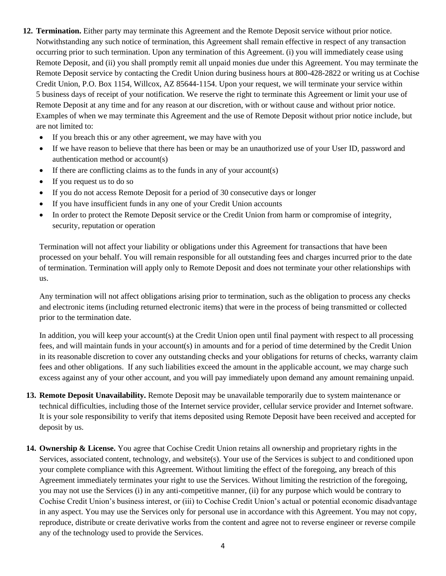- **12. Termination.** Either party may terminate this Agreement and the Remote Deposit service without prior notice. Notwithstanding any such notice of termination, this Agreement shall remain effective in respect of any transaction occurring prior to such termination. Upon any termination of this Agreement. (i) you will immediately cease using Remote Deposit, and (ii) you shall promptly remit all unpaid monies due under this Agreement. You may terminate the Remote Deposit service by contacting the Credit Union during business hours at 800-428-2822 or writing us at Cochise Credit Union, P.O. Box 1154, Willcox, AZ 85644-1154. Upon your request, we will terminate your service within 5 business days of receipt of your notification. We reserve the right to terminate this Agreement or limit your use of Remote Deposit at any time and for any reason at our discretion, with or without cause and without prior notice. Examples of when we may terminate this Agreement and the use of Remote Deposit without prior notice include, but are not limited to:
	- If you breach this or any other agreement, we may have with you
	- If we have reason to believe that there has been or may be an unauthorized use of your User ID, password and authentication method or account(s)
	- If there are conflicting claims as to the funds in any of your account(s)
	- If you request us to do so
	- If you do not access Remote Deposit for a period of 30 consecutive days or longer
	- If you have insufficient funds in any one of your Credit Union accounts
	- In order to protect the Remote Deposit service or the Credit Union from harm or compromise of integrity, security, reputation or operation

Termination will not affect your liability or obligations under this Agreement for transactions that have been processed on your behalf. You will remain responsible for all outstanding fees and charges incurred prior to the date of termination. Termination will apply only to Remote Deposit and does not terminate your other relationships with us.

Any termination will not affect obligations arising prior to termination, such as the obligation to process any checks and electronic items (including returned electronic items) that were in the process of being transmitted or collected prior to the termination date.

In addition, you will keep your account(s) at the Credit Union open until final payment with respect to all processing fees, and will maintain funds in your account(s) in amounts and for a period of time determined by the Credit Union in its reasonable discretion to cover any outstanding checks and your obligations for returns of checks, warranty claim fees and other obligations. If any such liabilities exceed the amount in the applicable account, we may charge such excess against any of your other account, and you will pay immediately upon demand any amount remaining unpaid.

- **13. Remote Deposit Unavailability.** Remote Deposit may be unavailable temporarily due to system maintenance or technical difficulties, including those of the Internet service provider, cellular service provider and Internet software. It is your sole responsibility to verify that items deposited using Remote Deposit have been received and accepted for deposit by us.
- **14. Ownership & License.** You agree that Cochise Credit Union retains all ownership and proprietary rights in the Services, associated content, technology, and website(s). Your use of the Services is subject to and conditioned upon your complete compliance with this Agreement. Without limiting the effect of the foregoing, any breach of this Agreement immediately terminates your right to use the Services. Without limiting the restriction of the foregoing, you may not use the Services (i) in any anti-competitive manner, (ii) for any purpose which would be contrary to Cochise Credit Union's business interest, or (iii) to Cochise Credit Union's actual or potential economic disadvantage in any aspect. You may use the Services only for personal use in accordance with this Agreement. You may not copy, reproduce, distribute or create derivative works from the content and agree not to reverse engineer or reverse compile any of the technology used to provide the Services.